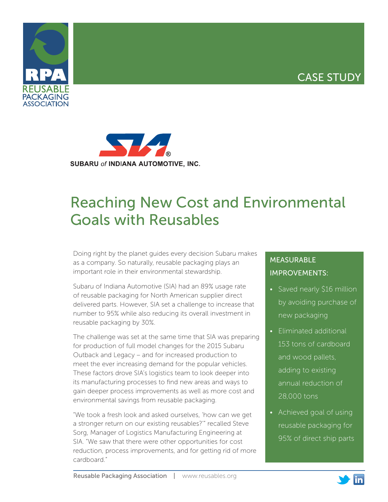## CASE STUDY





# Reaching New Cost and Environmental Goals with Reusables

Doing right by the planet guides every decision Subaru makes as a company. So naturally, reusable packaging plays an important role in their environmental stewardship.

Subaru of Indiana Automotive (SIA) had an 89% usage rate of reusable packaging for North American supplier direct delivered parts. However, SIA set a challenge to increase that number to 95% while also reducing its overall investment in reusable packaging by 30%.

The challenge was set at the same time that SIA was preparing for production of full model changes for the 2015 Subaru Outback and Legacy – and for increased production to meet the ever increasing demand for the popular vehicles. These factors drove SIA's logistics team to look deeper into its manufacturing processes to find new areas and ways to gain deeper process improvements as well as more cost and environmental savings from reusable packaging.

"We took a fresh look and asked ourselves, 'how can we get a stronger return on our existing reusables?'" recalled Steve Sorg, Manager of Logistics Manufacturing Engineering at SIA. "We saw that there were other opportunities for cost reduction, process improvements, and for getting rid of more cardboard."

### MEASURABLE IMPROVEMENTS:

- Saved nearly \$16 million by avoiding purchase of new packaging
- Eliminated additional 153 tons of cardboard and wood pallets, adding to existing annual reduction of 28,000 tons
- Achieved goal of using reusable packaging for 95% of direct ship parts



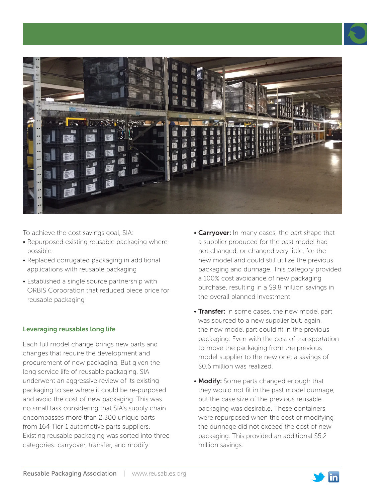



To achieve the cost savings goal, SIA:

- Repurposed existing reusable packaging where possible
- Replaced corrugated packaging in additional applications with reusable packaging
- Established a single source partnership with ORBIS Corporation that reduced piece price for reusable packaging

#### Leveraging reusables long life

Each full model change brings new parts and changes that require the development and procurement of new packaging. But given the long service life of reusable packaging, SIA underwent an aggressive review of its existing packaging to see where it could be re-purposed and avoid the cost of new packaging. This was no small task considering that SIA's supply chain encompasses more than 2,300 unique parts from 164 Tier-1 automotive parts suppliers. Existing reusable packaging was sorted into three categories: carryover, transfer, and modify.

- Carryover: In many cases, the part shape that a supplier produced for the past model had not changed, or changed very little, for the new model and could still utilize the previous packaging and dunnage. This category provided a 100% cost avoidance of new packaging purchase, resulting in a \$9.8 million savings in the overall planned investment.
- Transfer: In some cases, the new model part was sourced to a new supplier but, again, the new model part could fit in the previous packaging. Even with the cost of transportation to move the packaging from the previous model supplier to the new one, a savings of \$0.6 million was realized.
- Modify: Some parts changed enough that they would not fit in the past model dunnage, but the case size of the previous reusable packaging was desirable. These containers were repurposed when the cost of modifying the dunnage did not exceed the cost of new packaging. This provided an additional \$5.2 million savings.

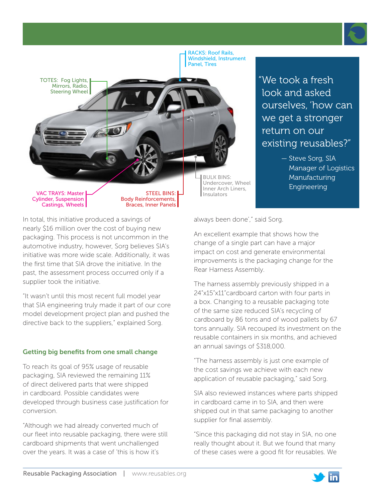



"We took a fresh look and asked ourselves, 'how can we get a stronger return on our existing reusables?"

> — Steve Sorg, SIA Manager of Logistics Manufacturing Engineering

In total, this initiative produced a savings of nearly \$16 million over the cost of buying new packaging. This process is not uncommon in the automotive industry, however, Sorg believes SIA's initiative was more wide scale. Additionally, it was the first time that SIA drove the initiative. In the past, the assessment process occurred only if a supplier took the initiative.

"It wasn't until this most recent full model year that SIA engineering truly made it part of our core model development project plan and pushed the directive back to the suppliers," explained Sorg.

#### Getting big benefits from one small change

To reach its goal of 95% usage of reusable packaging, SIA reviewed the remaining 11% of direct delivered parts that were shipped in cardboard. Possible candidates were developed through business case justification for conversion.

"Although we had already converted much of our fleet into reusable packaging, there were still cardboard shipments that went unchallenged over the years. It was a case of 'this is how it's

always been done'," said Sorg.

An excellent example that shows how the change of a single part can have a major impact on cost and generate environmental improvements is the packaging change for the Rear Harness Assembly.

The harness assembly previously shipped in a 24"x15"x11"cardboard carton with four parts in a box. Changing to a reusable packaging tote of the same size reduced SIA's recycling of cardboard by 86 tons and of wood pallets by 67 tons annually. SIA recouped its investment on the reusable containers in six months, and achieved an annual savings of \$318,000.

"The harness assembly is just one example of the cost savings we achieve with each new application of reusable packaging," said Sorg.

SIA also reviewed instances where parts shipped in cardboard came in to SIA, and then were shipped out in that same packaging to another supplier for final assembly.

"Since this packaging did not stay in SIA, no one really thought about it. But we found that many of these cases were a good fit for reusables. We

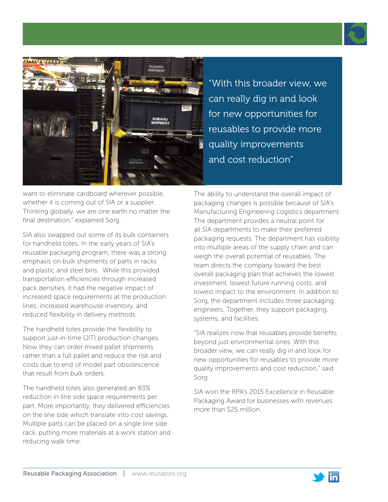



"With this broader view, we can really dig in and look for new opportunities for reusables to provide more quality improvements and cost reduction"

want to eliminate cardboard wherever possible, whether it is coming out of SIA or a supplier. Thinking globally, we are one earth no matter the final destination," explained Sorg.

SIA also swapped out some of its bulk containers for handheld totes. In the early years of SIA's reusable packaging program, there was a strong emphasis on bulk shipments of parts in racks and plastic and steel bins. While this provided transportation efficiencies through increased pack densities, it had the negative impact of increased space requirements at the production lines, increased warehouse inventory, and reduced flexibility in delivery methods.

The handheld totes provide the flexibility to support just-in-time (JIT) production changes. Now they can order mixed pallet shipments rather than a full pallet and reduce the risk and costs due to end of model part obsolescence that result from bulk orders.

The handheld totes also generated an 83% reduction in line side space requirements per part. More importantly, they delivered efficiencies on the line side which translate into cost savings. Multiple parts can be placed on a single line side rack, putting more materials at a work station and reducing walk time.

The ability to understand the overall impact of packaging changes is possible because of SIA's Manufacturing Engineering Logistics department. The department provides a neutral point for all SIA departments to make their preferred packaging requests. The department has visibility into multiple areas of the supply chain and can weigh the overall potential of reusables. The team directs the company toward the best overall packaging plan that achieves the lowest investment, lowest future running costs, and lowest impact to the environment. In addition to Sorg, the department includes three packaging engineers. Together, they support packaging, systems, and facilities.

"SIA realizes now that reusables provide benefits beyond just environmental ones. With this broader view, we can really dig in and look for new opportunities for reusables to provide more quality improvements and cost reduction," said Sorg.

SIA won the RPA's 2015 Excellence in Reusable Packaging Award for businesses with revenues more than \$25 million.